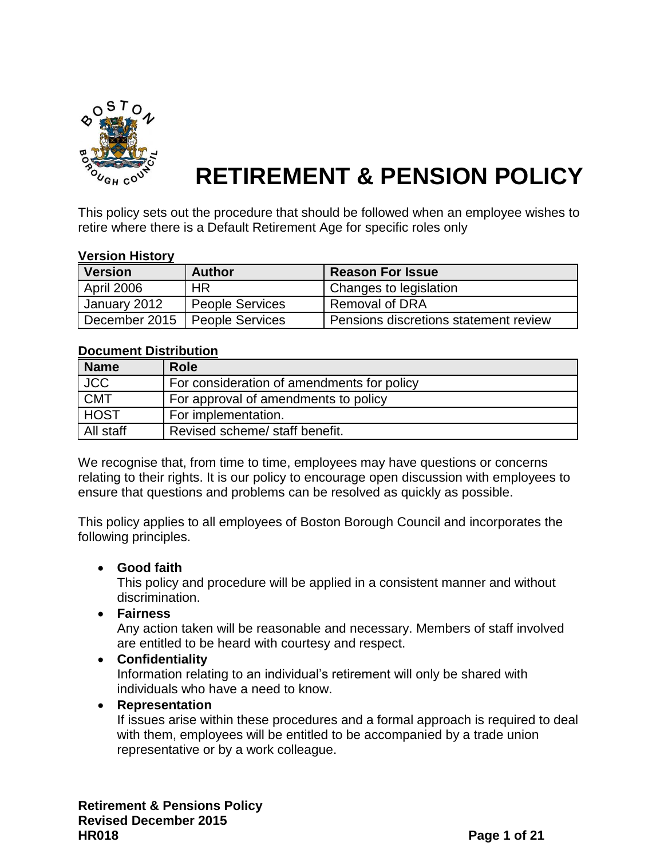

# **RETIREMENT & PENSION POLICY**

This policy sets out the procedure that should be followed when an employee wishes to retire where there is a Default Retirement Age for specific roles only

#### **Version History**

| <b>Version</b> | <b>Author</b>          | <b>Reason For Issue</b>               |
|----------------|------------------------|---------------------------------------|
| April 2006     | <b>HR</b>              | Changes to legislation                |
| January 2012   | <b>People Services</b> | <b>Removal of DRA</b>                 |
| December 2015  | <b>People Services</b> | Pensions discretions statement review |

#### **Document Distribution**

| <b>Name</b> | <b>Role</b>                                |
|-------------|--------------------------------------------|
| <b>JCC</b>  | For consideration of amendments for policy |
| CMT         | For approval of amendments to policy       |
| <b>HOST</b> | For implementation.                        |
| All staff   | Revised scheme/ staff benefit.             |

We recognise that, from time to time, employees may have questions or concerns relating to their rights. It is our policy to encourage open discussion with employees to ensure that questions and problems can be resolved as quickly as possible.

This policy applies to all employees of Boston Borough Council and incorporates the following principles.

#### **Good faith**

This policy and procedure will be applied in a consistent manner and without discrimination.

**Fairness**

Any action taken will be reasonable and necessary. Members of staff involved are entitled to be heard with courtesy and respect.

**Confidentiality**

Information relating to an individual's retirement will only be shared with individuals who have a need to know.

#### **Representation**

If issues arise within these procedures and a formal approach is required to deal with them, employees will be entitled to be accompanied by a trade union representative or by a work colleague.

**Retirement & Pensions Policy Revised December 2015 HR018 Page 1 of 21**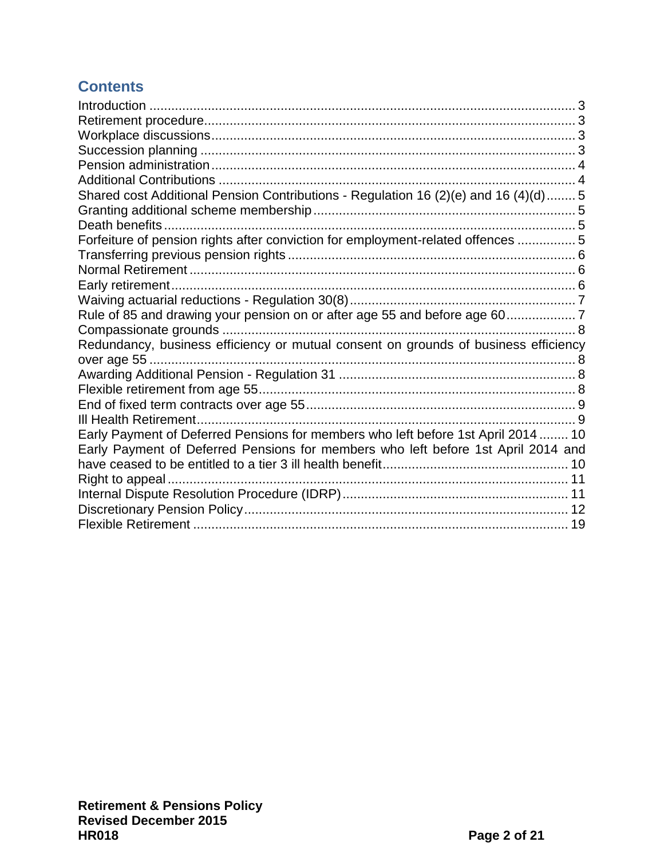# **Contents**

| Shared cost Additional Pension Contributions - Regulation 16 (2)(e) and 16 (4)(d) 5 |  |
|-------------------------------------------------------------------------------------|--|
|                                                                                     |  |
|                                                                                     |  |
| Forfeiture of pension rights after conviction for employment-related offences  5    |  |
|                                                                                     |  |
|                                                                                     |  |
|                                                                                     |  |
|                                                                                     |  |
| Rule of 85 and drawing your pension on or after age 55 and before age 607           |  |
|                                                                                     |  |
| Redundancy, business efficiency or mutual consent on grounds of business efficiency |  |
|                                                                                     |  |
|                                                                                     |  |
|                                                                                     |  |
|                                                                                     |  |
| Early Payment of Deferred Pensions for members who left before 1st April 2014 10    |  |
| Early Payment of Deferred Pensions for members who left before 1st April 2014 and   |  |
|                                                                                     |  |
|                                                                                     |  |
|                                                                                     |  |
|                                                                                     |  |
|                                                                                     |  |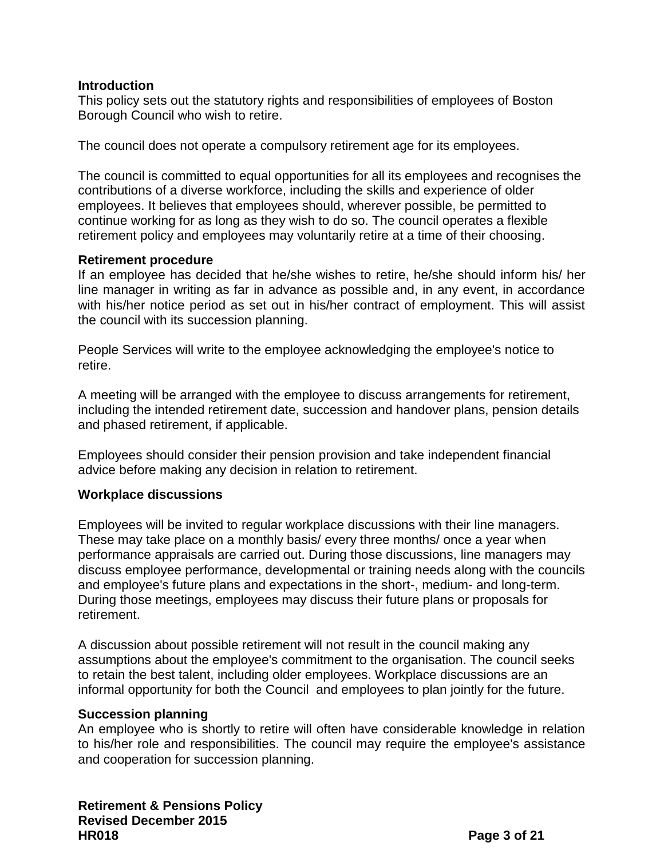#### <span id="page-2-0"></span>**Introduction**

This policy sets out the statutory rights and responsibilities of employees of Boston Borough Council who wish to retire.

The council does not operate a compulsory retirement age for its employees.

The council is committed to equal opportunities for all its employees and recognises the contributions of a diverse workforce, including the skills and experience of older employees. It believes that employees should, wherever possible, be permitted to continue working for as long as they wish to do so. The council operates a flexible retirement policy and employees may voluntarily retire at a time of their choosing.

#### <span id="page-2-1"></span>**Retirement procedure**

If an employee has decided that he/she wishes to retire, he/she should inform his/ her line manager in writing as far in advance as possible and, in any event, in accordance with his/her notice period as set out in his/her contract of employment. This will assist the council with its succession planning.

People Services will write to the employee acknowledging the employee's notice to retire.

A meeting will be arranged with the employee to discuss arrangements for retirement, including the intended retirement date, succession and handover plans, pension details and phased retirement, if applicable.

Employees should consider their pension provision and take independent financial advice before making any decision in relation to retirement.

# <span id="page-2-2"></span>**Workplace discussions**

Employees will be invited to regular workplace discussions with their line managers. These may take place on a monthly basis/ every three months/ once a year when performance appraisals are carried out. During those discussions, line managers may discuss employee performance, developmental or training needs along with the councils and employee's future plans and expectations in the short-, medium- and long-term. During those meetings, employees may discuss their future plans or proposals for retirement.

A discussion about possible retirement will not result in the council making any assumptions about the employee's commitment to the organisation. The council seeks to retain the best talent, including older employees. Workplace discussions are an informal opportunity for both the Council and employees to plan jointly for the future.

#### <span id="page-2-3"></span>**Succession planning**

An employee who is shortly to retire will often have considerable knowledge in relation to his/her role and responsibilities. The council may require the employee's assistance and cooperation for succession planning.

**Retirement & Pensions Policy Revised December 2015 HR018 Page 3 of 21**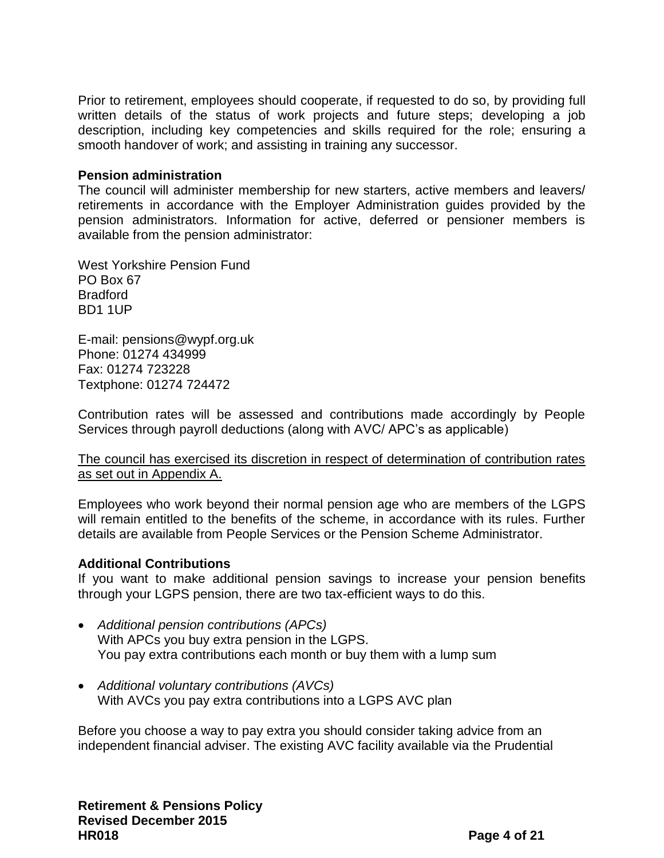Prior to retirement, employees should cooperate, if requested to do so, by providing full written details of the status of work projects and future steps; developing a job description, including key competencies and skills required for the role; ensuring a smooth handover of work; and assisting in training any successor.

#### <span id="page-3-0"></span>**Pension administration**

The council will administer membership for new starters, active members and leavers/ retirements in accordance with the Employer Administration guides provided by the pension administrators. Information for active, deferred or pensioner members is available from the pension administrator:

West Yorkshire Pension Fund PO Box 67 Bradford BD1 1UP

E-mail: [pensions@wypf.org.uk](mailto:pensions@wypf.org.uk) Phone: 01274 434999 Fax: 01274 723228 Textphone: 01274 724472

Contribution rates will be assessed and contributions made accordingly by People Services through payroll deductions (along with AVC/ APC's as applicable)

The council has exercised its discretion in respect of determination of contribution rates as set out in Appendix A.

Employees who work beyond their normal pension age who are members of the LGPS will remain entitled to the benefits of the scheme, in accordance with its rules. Further details are available from People Services or the Pension Scheme Administrator.

#### <span id="page-3-1"></span>**Additional Contributions**

If you want to make additional pension savings to increase your pension benefits through your LGPS pension, there are two tax-efficient ways to do this.

- *[Additional pension contributions \(APCs\)](http://www.wypf.org.uk/Member/Active/AboutYourPension/PayingExtra/APCs/APCs.aspx)* With APCs you buy extra pension in the LGPS. You pay extra contributions each month or buy them with a lump sum
- *[Additional voluntary contributions \(AVCs\)](http://www.wypf.org.uk/Member/Active/AboutYourPension/PayingExtra/AVCs/AVCs.aspx)* With AVCs you pay extra contributions into a LGPS AVC plan

Before you choose a way to pay extra you should consider taking advice from an independent financial adviser. The existing AVC facility available via the Prudential

**Retirement & Pensions Policy Revised December 2015 HR018 Page 4 of 21**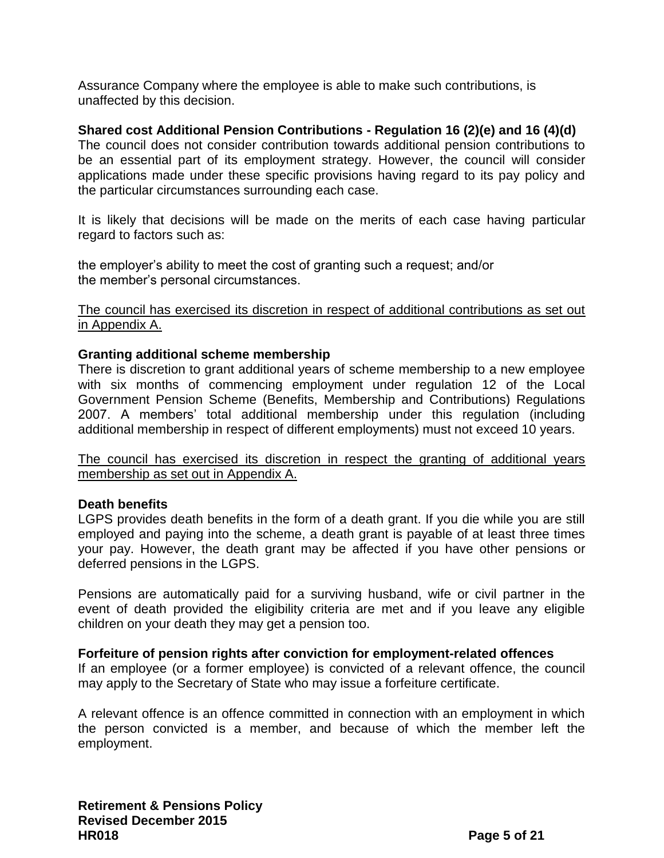Assurance Company where the employee is able to make such contributions, is unaffected by this decision.

# <span id="page-4-0"></span>**Shared cost Additional Pension Contributions - Regulation 16 (2)(e) and 16 (4)(d)**

The council does not consider contribution towards additional pension contributions to be an essential part of its employment strategy. However, the council will consider applications made under these specific provisions having regard to its pay policy and the particular circumstances surrounding each case.

It is likely that decisions will be made on the merits of each case having particular regard to factors such as:

the employer's ability to meet the cost of granting such a request; and/or the member's personal circumstances.

The council has exercised its discretion in respect of additional contributions as set out in Appendix A.

#### <span id="page-4-1"></span>**Granting additional scheme membership**

There is discretion to grant additional years of scheme membership to a new employee with six months of commencing employment under regulation 12 of the Local Government Pension Scheme (Benefits, Membership and Contributions) Regulations 2007. A members' total additional membership under this regulation (including additional membership in respect of different employments) must not exceed 10 years.

The council has exercised its discretion in respect the granting of additional years membership as set out in Appendix A.

#### <span id="page-4-2"></span>**Death benefits**

LGPS provides death benefits in the form of a death grant. If you die while you are still employed and paying into the scheme, a death grant is payable of at least three times your pay. However, the death grant may be affected if you have other pensions or deferred pensions in the LGPS.

Pensions are automatically paid for a surviving husband, wife or civil partner in the event of death provided the eligibility criteria are met and if you leave any eligible children on your death they may get a pension too.

#### <span id="page-4-3"></span>**Forfeiture of pension rights after conviction for employment-related offences**

If an employee (or a former employee) is convicted of a relevant offence, the council may apply to the Secretary of State who may issue a forfeiture certificate.

A relevant offence is an offence committed in connection with an employment in which the person convicted is a member, and because of which the member left the employment.

**Retirement & Pensions Policy Revised December 2015 HR018 Page 5 of 21**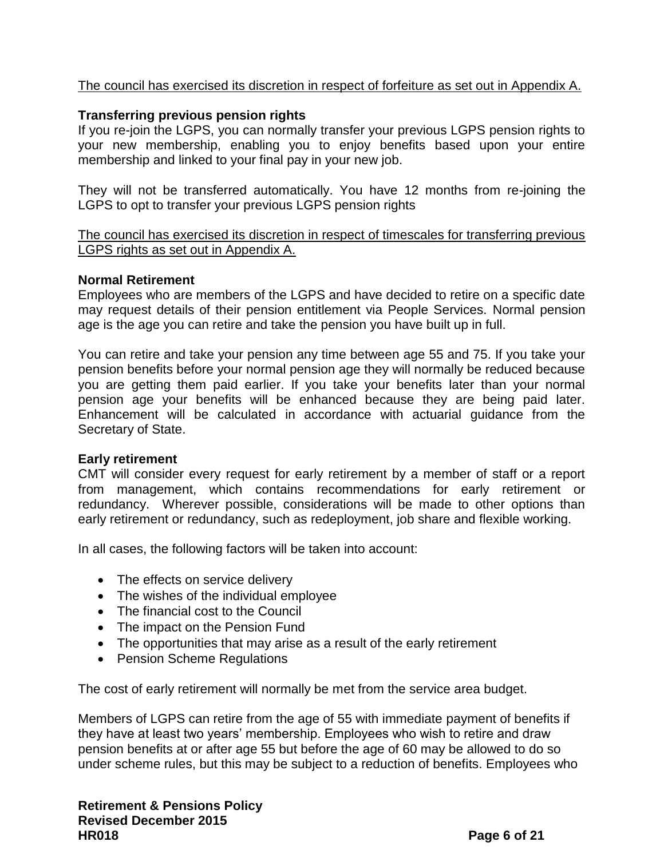# The council has exercised its discretion in respect of forfeiture as set out in Appendix A.

# <span id="page-5-0"></span>**Transferring previous pension rights**

If you re-join the LGPS, you can normally transfer your previous LGPS pension rights to your new membership, enabling you to enjoy benefits based upon your entire membership and linked to your final pay in your new job.

They will not be transferred automatically. You have 12 months from re-joining the LGPS to opt to transfer your previous LGPS pension rights

The council has exercised its discretion in respect of timescales for transferring previous LGPS rights as set out in Appendix A.

#### <span id="page-5-1"></span>**Normal Retirement**

Employees who are members of the LGPS and have decided to retire on a specific date may request details of their pension entitlement via People Services. Normal pension age is the age you can retire and take the pension you have built up in full.

You can retire and take your pension any time between age 55 and 75. If you take your pension benefits before your normal pension age they will normally be reduced because you are getting them paid earlier. If you take your benefits later than your normal pension age your benefits will be enhanced because they are being paid later. Enhancement will be calculated in accordance with actuarial guidance from the Secretary of State.

#### <span id="page-5-2"></span>**Early retirement**

CMT will consider every request for early retirement by a member of staff or a report from management, which contains recommendations for early retirement or redundancy. Wherever possible, considerations will be made to other options than early retirement or redundancy, such as redeployment, job share and flexible working.

In all cases, the following factors will be taken into account:

- The effects on service delivery
- The wishes of the individual employee
- The financial cost to the Council
- The impact on the Pension Fund
- The opportunities that may arise as a result of the early retirement
- Pension Scheme Regulations

The cost of early retirement will normally be met from the service area budget.

Members of LGPS can retire from the age of 55 with immediate payment of benefits if they have at least two years' membership. Employees who wish to retire and draw pension benefits at or after age 55 but before the age of 60 may be allowed to do so under scheme rules, but this may be subject to a reduction of benefits. Employees who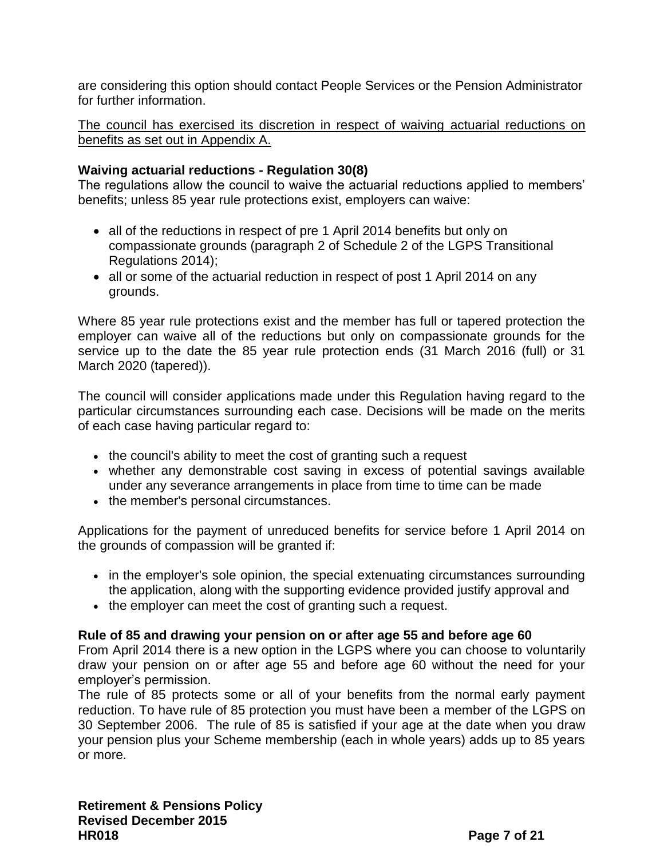are considering this option should contact People Services or the Pension Administrator for further information.

The council has exercised its discretion in respect of waiving actuarial reductions on benefits as set out in Appendix A.

# <span id="page-6-0"></span>**Waiving actuarial reductions - Regulation 30(8)**

The regulations allow the council to waive the actuarial reductions applied to members' benefits; unless 85 year rule protections exist, employers can waive:

- all of the reductions in respect of pre 1 April 2014 benefits but only on compassionate grounds (paragraph 2 of Schedule 2 of the LGPS Transitional Regulations 2014);
- all or some of the actuarial reduction in respect of post 1 April 2014 on any grounds.

Where 85 year rule protections exist and the member has full or tapered protection the employer can waive all of the reductions but only on compassionate grounds for the service up to the date the 85 year rule protection ends (31 March 2016 (full) or 31 March 2020 (tapered)).

The council will consider applications made under this Regulation having regard to the particular circumstances surrounding each case. Decisions will be made on the merits of each case having particular regard to:

- the council's ability to meet the cost of granting such a request
- whether any demonstrable cost saving in excess of potential savings available under any severance arrangements in place from time to time can be made
- the member's personal circumstances.

Applications for the payment of unreduced benefits for service before 1 April 2014 on the grounds of compassion will be granted if:

- in the employer's sole opinion, the special extenuating circumstances surrounding the application, along with the supporting evidence provided justify approval and
- the employer can meet the cost of granting such a request.

# <span id="page-6-1"></span>**Rule of 85 and drawing your pension on or after age 55 and before age 60**

From April 2014 there is a new option in the LGPS where you can choose to voluntarily draw your pension on or after age 55 and before age 60 without the need for your employer's permission.

The rule of 85 protects some or all of your benefits from the normal early payment reduction. To have rule of 85 protection you must have been a member of the LGPS on 30 September 2006. The rule of 85 is satisfied if your age at the date when you draw your pension plus your Scheme membership (each in whole years) adds up to 85 years or more.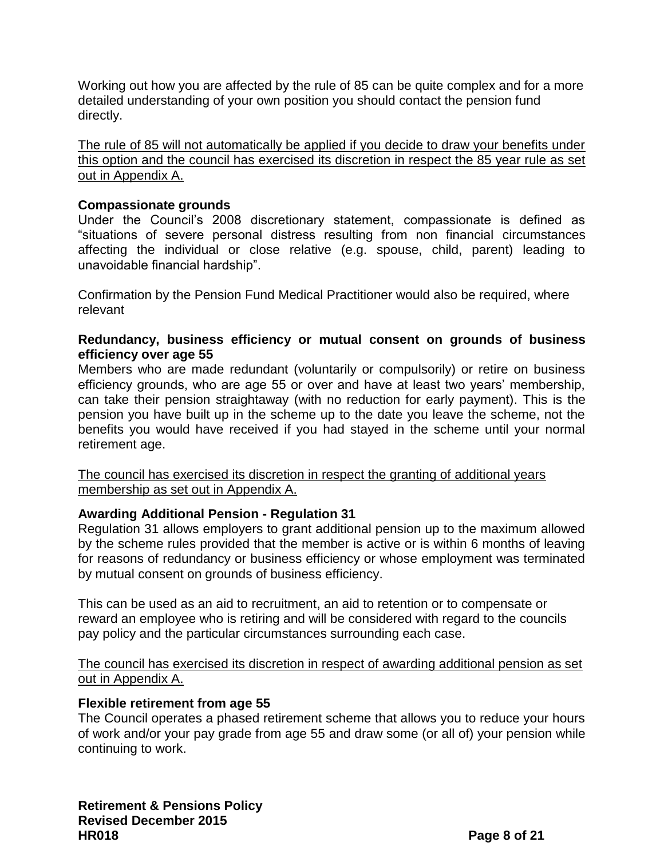Working out how you are affected by the rule of 85 can be quite complex and for a more detailed understanding of your own position you should contact the pension fund directly.

The rule of 85 will not automatically be applied if you decide to draw your benefits under this option and the council has exercised its discretion in respect the 85 year rule as set out in Appendix A.

# <span id="page-7-0"></span>**Compassionate grounds**

Under the Council's 2008 discretionary statement, compassionate is defined as "situations of severe personal distress resulting from non financial circumstances affecting the individual or close relative (e.g. spouse, child, parent) leading to unavoidable financial hardship".

Confirmation by the Pension Fund Medical Practitioner would also be required, where relevant

# <span id="page-7-1"></span>**Redundancy, business efficiency or mutual consent on grounds of business efficiency over age 55**

Members who are made redundant (voluntarily or compulsorily) or retire on business efficiency grounds, who are age 55 or over and have at least two years' membership, can take their pension straightaway (with no reduction for early payment). This is the pension you have built up in the scheme up to the date you leave the scheme, not the benefits you would have received if you had stayed in the scheme until your normal retirement age.

The council has exercised its discretion in respect the granting of additional years membership as set out in Appendix A.

# <span id="page-7-2"></span>**Awarding Additional Pension - Regulation 31**

Regulation 31 allows employers to grant additional pension up to the maximum allowed by the scheme rules provided that the member is active or is within 6 months of leaving for reasons of redundancy or business efficiency or whose employment was terminated by mutual consent on grounds of business efficiency.

This can be used as an aid to recruitment, an aid to retention or to compensate or reward an employee who is retiring and will be considered with regard to the councils pay policy and the particular circumstances surrounding each case.

The council has exercised its discretion in respect of awarding additional pension as set out in Appendix A.

# <span id="page-7-3"></span>**Flexible retirement from age 55**

The Council operates a phased retirement scheme that allows you to reduce your hours of work and/or your pay grade from age 55 and draw some (or all of) your pension while continuing to work.

**Retirement & Pensions Policy Revised December 2015 HR018 Page 8 of 21**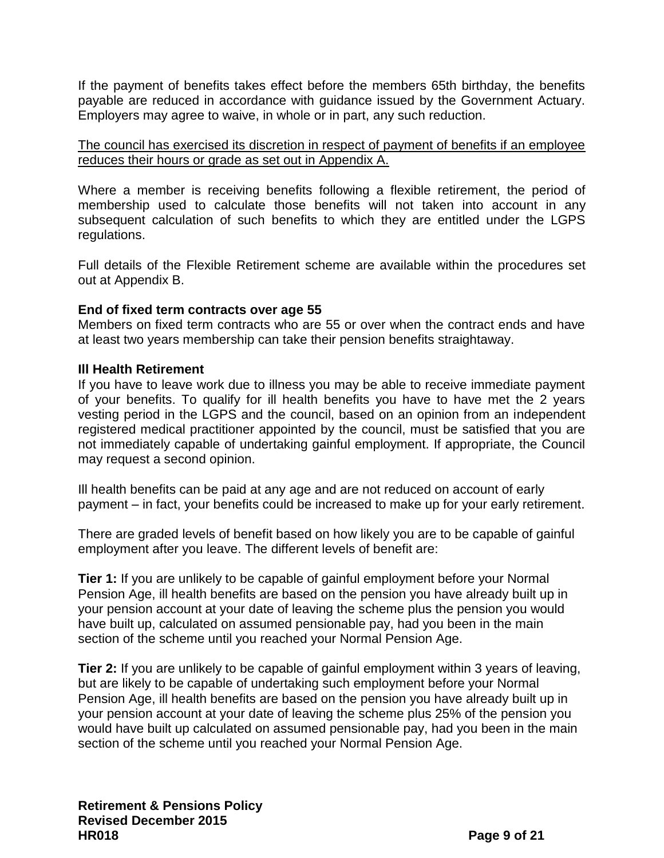If the payment of benefits takes effect before the members 65th birthday, the benefits payable are reduced in accordance with guidance issued by the Government Actuary. Employers may agree to waive, in whole or in part, any such reduction.

The council has exercised its discretion in respect of payment of benefits if an employee reduces their hours or grade as set out in Appendix A.

Where a member is receiving benefits following a flexible retirement, the period of membership used to calculate those benefits will not taken into account in any subsequent calculation of such benefits to which they are entitled under the LGPS regulations.

Full details of the Flexible Retirement scheme are available within the procedures set out at Appendix B.

# <span id="page-8-0"></span>**End of fixed term contracts over age 55**

Members on fixed term contracts who are 55 or over when the contract ends and have at least two years membership can take their pension benefits straightaway.

# <span id="page-8-1"></span>**Ill Health Retirement**

If you have to leave work due to illness you may be able to receive immediate payment of your benefits. To qualify for ill health benefits you have to have met the 2 years vesting period in the LGPS and the council, based on an opinion from an independent registered medical practitioner appointed by the council, must be satisfied that you are not immediately capable of undertaking gainful employment. If appropriate, the Council may request a second opinion.

Ill health benefits can be paid at any age and are not reduced on account of early payment – in fact, your benefits could be increased to make up for your early retirement.

There are graded levels of benefit based on how likely you are to be capable of gainful employment after you leave. The different levels of benefit are:

**Tier 1:** If you are unlikely to be capable of gainful employment before your Normal Pension Age, ill health benefits are based on the pension you have already built up in your pension account at your date of leaving the scheme plus the pension you would have built up, calculated on assumed pensionable pay, had you been in the main section of the scheme until you reached your Normal Pension Age.

**Tier 2:** If you are unlikely to be capable of gainful employment within 3 years of leaving, but are likely to be capable of undertaking such employment before your Normal Pension Age, ill health benefits are based on the pension you have already built up in your pension account at your date of leaving the scheme plus 25% of the pension you would have built up calculated on assumed pensionable pay, had you been in the main section of the scheme until you reached your Normal Pension Age.

**Retirement & Pensions Policy Revised December 2015 HR018 Page 9 of 21**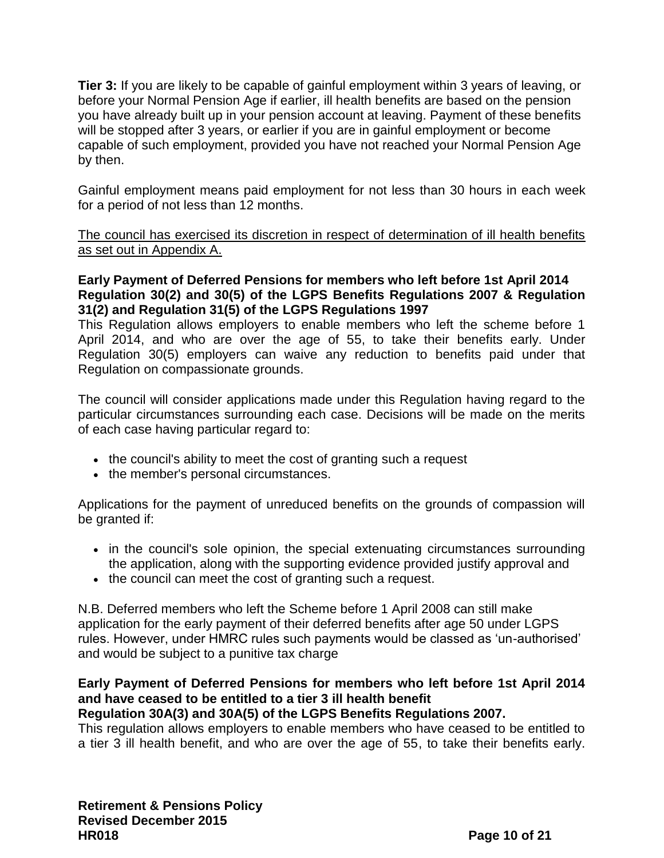**Tier 3:** If you are likely to be capable of gainful employment within 3 years of leaving, or before your Normal Pension Age if earlier, ill health benefits are based on the pension you have already built up in your pension account at leaving. Payment of these benefits will be stopped after 3 years, or earlier if you are in gainful employment or become capable of such employment, provided you have not reached your Normal Pension Age by then.

Gainful employment means paid employment for not less than 30 hours in each week for a period of not less than 12 months.

The council has exercised its discretion in respect of determination of ill health benefits as set out in Appendix A.

# <span id="page-9-0"></span>**Early Payment of Deferred Pensions for members who left before 1st April 2014 Regulation 30(2) and 30(5) of the LGPS Benefits Regulations 2007 & Regulation 31(2) and Regulation 31(5) of the LGPS Regulations 1997**

This Regulation allows employers to enable members who left the scheme before 1 April 2014, and who are over the age of 55, to take their benefits early. Under Regulation 30(5) employers can waive any reduction to benefits paid under that Regulation on compassionate grounds.

The council will consider applications made under this Regulation having regard to the particular circumstances surrounding each case. Decisions will be made on the merits of each case having particular regard to:

- the council's ability to meet the cost of granting such a request
- the member's personal circumstances.

Applications for the payment of unreduced benefits on the grounds of compassion will be granted if:

- in the council's sole opinion, the special extenuating circumstances surrounding the application, along with the supporting evidence provided justify approval and
- the council can meet the cost of granting such a request.

N.B. Deferred members who left the Scheme before 1 April 2008 can still make application for the early payment of their deferred benefits after age 50 under LGPS rules. However, under HMRC rules such payments would be classed as 'un-authorised' and would be subject to a punitive tax charge

# <span id="page-9-1"></span>**Early Payment of Deferred Pensions for members who left before 1st April 2014 and have ceased to be entitled to a tier 3 ill health benefit**

# **Regulation 30A(3) and 30A(5) of the LGPS Benefits Regulations 2007.**

This regulation allows employers to enable members who have ceased to be entitled to a tier 3 ill health benefit, and who are over the age of 55, to take their benefits early.

**Retirement & Pensions Policy Revised December 2015 HR018 Page 10 of 21**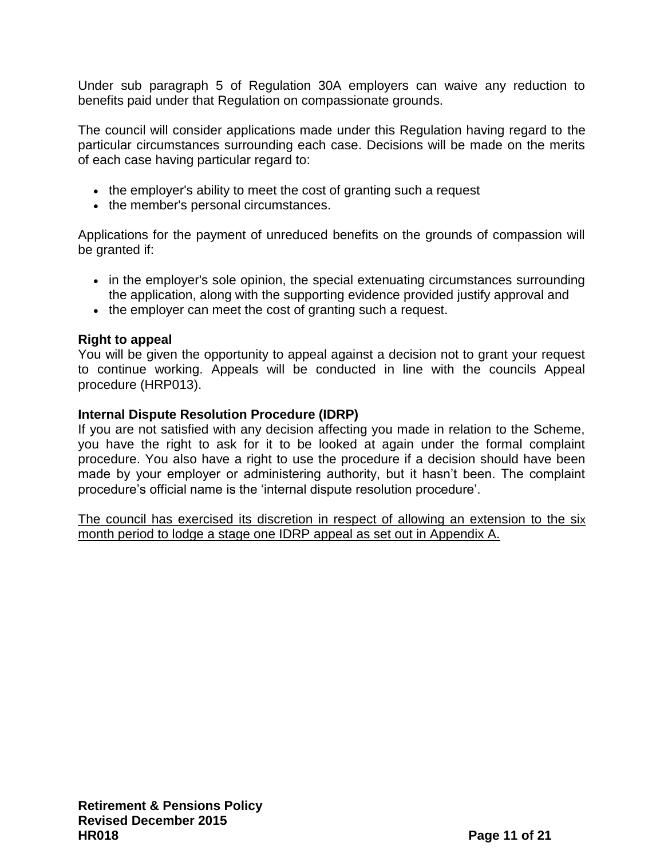Under sub paragraph 5 of Regulation 30A employers can waive any reduction to benefits paid under that Regulation on compassionate grounds.

The council will consider applications made under this Regulation having regard to the particular circumstances surrounding each case. Decisions will be made on the merits of each case having particular regard to:

- the employer's ability to meet the cost of granting such a request
- the member's personal circumstances.

Applications for the payment of unreduced benefits on the grounds of compassion will be granted if:

- in the employer's sole opinion, the special extenuating circumstances surrounding the application, along with the supporting evidence provided justify approval and
- the employer can meet the cost of granting such a request.

# <span id="page-10-0"></span>**Right to appeal**

You will be given the opportunity to appeal against a decision not to grant your request to continue working. Appeals will be conducted in line with the councils Appeal procedure (HRP013).

# <span id="page-10-1"></span>**Internal Dispute Resolution Procedure (IDRP)**

If you are not satisfied with any decision affecting you made in relation to the Scheme, you have the right to ask for it to be looked at again under the formal complaint procedure. You also have a right to use the procedure if a decision should have been made by your employer or administering authority, but it hasn't been. The complaint procedure's official name is the 'internal dispute resolution procedure'.

The council has exercised its discretion in respect of allowing an extension to the six month period to lodge a stage one IDRP appeal as set out in Appendix A.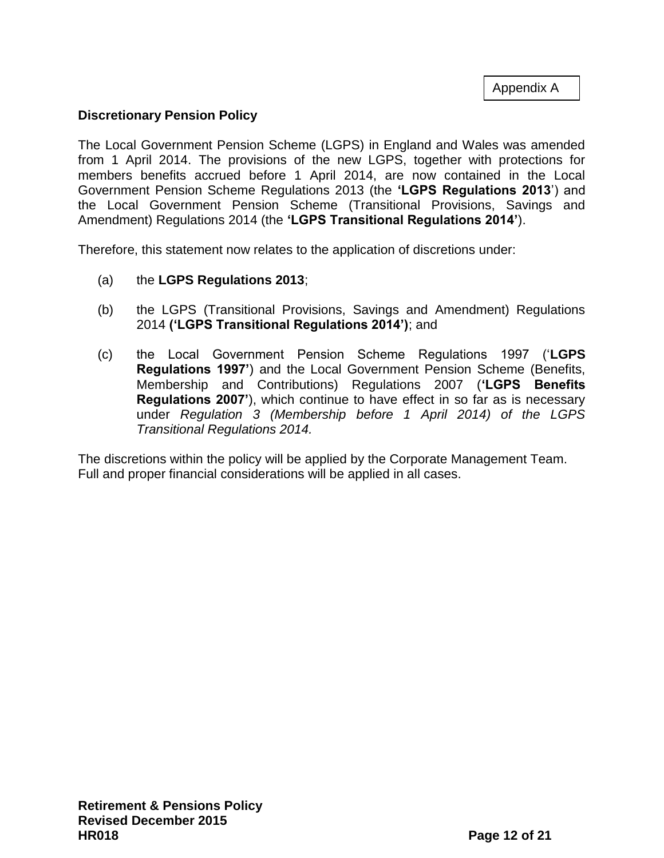Appendix A

# <span id="page-11-0"></span>**Discretionary Pension Policy**

The Local Government Pension Scheme (LGPS) in England and Wales was amended from 1 April 2014. The provisions of the new LGPS, together with protections for members benefits accrued before 1 April 2014, are now contained in the Local Government Pension Scheme Regulations 2013 (the **'LGPS Regulations 2013**') and the Local Government Pension Scheme (Transitional Provisions, Savings and Amendment) Regulations 2014 (the **'LGPS Transitional Regulations 2014'**).

Therefore, this statement now relates to the application of discretions under:

- (a) the **LGPS Regulations 2013**;
- (b) the LGPS (Transitional Provisions, Savings and Amendment) Regulations 2014 **('LGPS Transitional Regulations 2014')**; and
- (c) the Local Government Pension Scheme Regulations 1997 ('**LGPS Regulations 1997'**) and the Local Government Pension Scheme (Benefits, Membership and Contributions) Regulations 2007 (**'LGPS Benefits Regulations 2007'**), which continue to have effect in so far as is necessary under *Regulation 3 (Membership before 1 April 2014) of the LGPS Transitional Regulations 2014.*

The discretions within the policy will be applied by the Corporate Management Team. Full and proper financial considerations will be applied in all cases.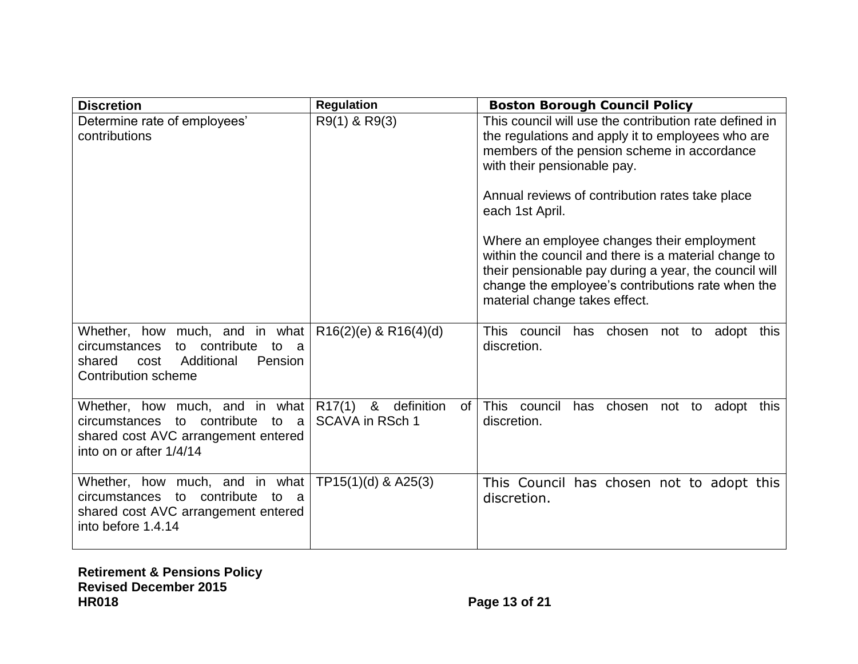| <b>Discretion</b>                                                                                                                                         | <b>Regulation</b>                                                | <b>Boston Borough Council Policy</b>                                                                                                                                                                                                                                                                                                                                                                                                                                                                                 |
|-----------------------------------------------------------------------------------------------------------------------------------------------------------|------------------------------------------------------------------|----------------------------------------------------------------------------------------------------------------------------------------------------------------------------------------------------------------------------------------------------------------------------------------------------------------------------------------------------------------------------------------------------------------------------------------------------------------------------------------------------------------------|
| Determine rate of employees'<br>contributions                                                                                                             | R9(1) & R9(3)                                                    | This council will use the contribution rate defined in<br>the regulations and apply it to employees who are<br>members of the pension scheme in accordance<br>with their pensionable pay.<br>Annual reviews of contribution rates take place<br>each 1st April.<br>Where an employee changes their employment<br>within the council and there is a material change to<br>their pensionable pay during a year, the council will<br>change the employee's contributions rate when the<br>material change takes effect. |
| Whether, how much, and in what<br>contribute to a<br>circumstances<br>to<br>Additional<br>Pension<br>shared<br>cost<br><b>Contribution scheme</b>         | $R16(2)(e)$ & $R16(4)(d)$                                        | This council<br>has chosen not to adopt<br>this<br>discretion.                                                                                                                                                                                                                                                                                                                                                                                                                                                       |
| Whether, how much, and in what<br>contribute<br>to<br>to<br><b>circumstances</b><br>- a<br>shared cost AVC arrangement entered<br>into on or after 1/4/14 | R <sub>17</sub> (1) & definition<br>0f<br><b>SCAVA in RSch 1</b> | This council<br>has chosen not to adopt this<br>discretion.                                                                                                                                                                                                                                                                                                                                                                                                                                                          |
| Whether, how much, and in what<br>circumstances to contribute<br>to a<br>shared cost AVC arrangement entered<br>into before 1.4.14                        | $TP15(1)(d)$ & A25(3)                                            | This Council has chosen not to adopt this<br>discretion.                                                                                                                                                                                                                                                                                                                                                                                                                                                             |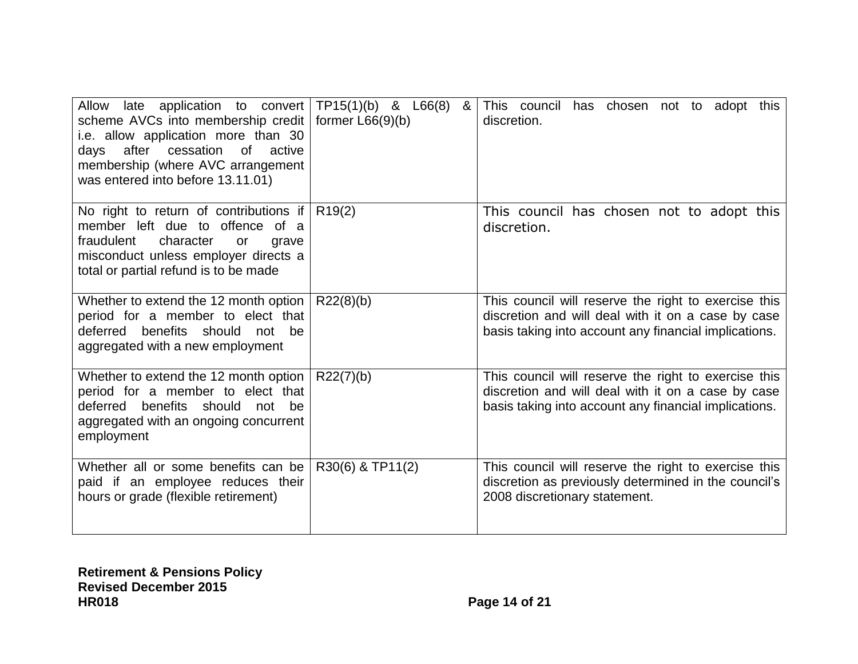| Allow late application to convert $TP15(1)(b)$ & L66(8)<br>scheme AVCs into membership credit<br>i.e. allow application more than 30<br>cessation<br>of active<br>after<br>days<br>membership (where AVC arrangement<br>was entered into before 13.11.01) | &<br>former $L66(9)(b)$ | This council has chosen not to adopt this<br>discretion.                                                                                                            |
|-----------------------------------------------------------------------------------------------------------------------------------------------------------------------------------------------------------------------------------------------------------|-------------------------|---------------------------------------------------------------------------------------------------------------------------------------------------------------------|
| No right to return of contributions if<br>member left due to offence of a<br>fraudulent<br>character<br>grave<br>or<br>misconduct unless employer directs a<br>total or partial refund is to be made                                                      | R19(2)                  | This council has chosen not to adopt this<br>discretion.                                                                                                            |
| Whether to extend the 12 month option<br>period for a member to elect that<br>deferred benefits should<br>be<br>not<br>aggregated with a new employment                                                                                                   | R22(8)(b)               | This council will reserve the right to exercise this<br>discretion and will deal with it on a case by case<br>basis taking into account any financial implications. |
| Whether to extend the 12 month option  <br>period for a member to elect that<br>deferred benefits should<br>not be<br>aggregated with an ongoing concurrent<br>employment                                                                                 | R22(7)(b)               | This council will reserve the right to exercise this<br>discretion and will deal with it on a case by case<br>basis taking into account any financial implications. |
| Whether all or some benefits can be<br>paid if an employee reduces their<br>hours or grade (flexible retirement)                                                                                                                                          | R30(6) & TP11(2)        | This council will reserve the right to exercise this<br>discretion as previously determined in the council's<br>2008 discretionary statement.                       |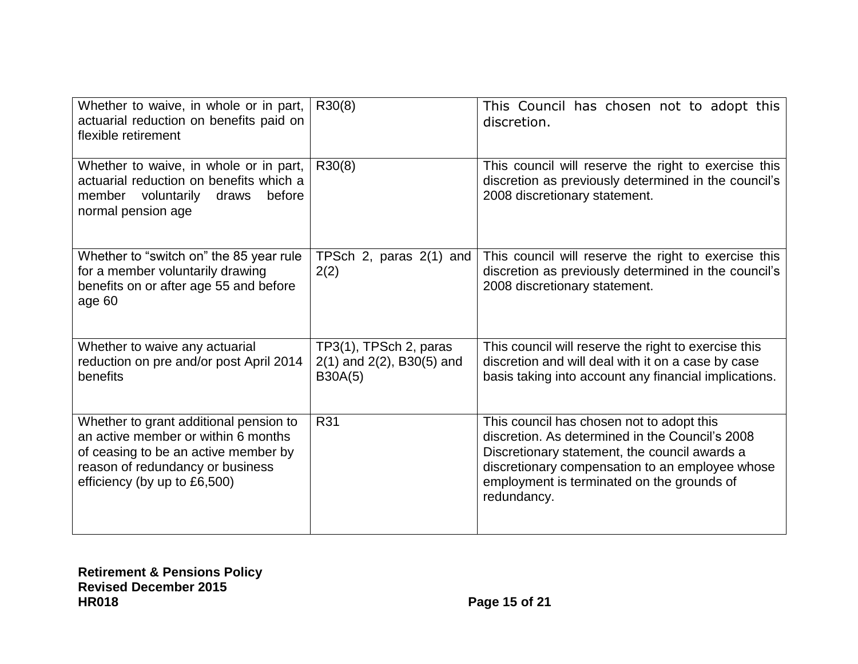| Whether to waive, in whole or in part,<br>actuarial reduction on benefits paid on<br>flexible retirement                                                                                  | R30(8)                                                              | This Council has chosen not to adopt this<br>discretion.                                                                                                                                                                                                      |
|-------------------------------------------------------------------------------------------------------------------------------------------------------------------------------------------|---------------------------------------------------------------------|---------------------------------------------------------------------------------------------------------------------------------------------------------------------------------------------------------------------------------------------------------------|
| Whether to waive, in whole or in part,<br>actuarial reduction on benefits which a<br>member voluntarily<br>before<br>draws<br>normal pension age                                          | R30(8)                                                              | This council will reserve the right to exercise this<br>discretion as previously determined in the council's<br>2008 discretionary statement.                                                                                                                 |
| Whether to "switch on" the 85 year rule<br>for a member voluntarily drawing<br>benefits on or after age 55 and before<br>age 60                                                           | TPSch 2, paras 2(1) and<br>2(2)                                     | This council will reserve the right to exercise this<br>discretion as previously determined in the council's<br>2008 discretionary statement.                                                                                                                 |
| Whether to waive any actuarial<br>reduction on pre and/or post April 2014<br>benefits                                                                                                     | TP3(1), TPSch 2, paras<br>$2(1)$ and $2(2)$ , B30(5) and<br>B30A(5) | This council will reserve the right to exercise this<br>discretion and will deal with it on a case by case<br>basis taking into account any financial implications.                                                                                           |
| Whether to grant additional pension to<br>an active member or within 6 months<br>of ceasing to be an active member by<br>reason of redundancy or business<br>efficiency (by up to £6,500) | R31                                                                 | This council has chosen not to adopt this<br>discretion. As determined in the Council's 2008<br>Discretionary statement, the council awards a<br>discretionary compensation to an employee whose<br>employment is terminated on the grounds of<br>redundancy. |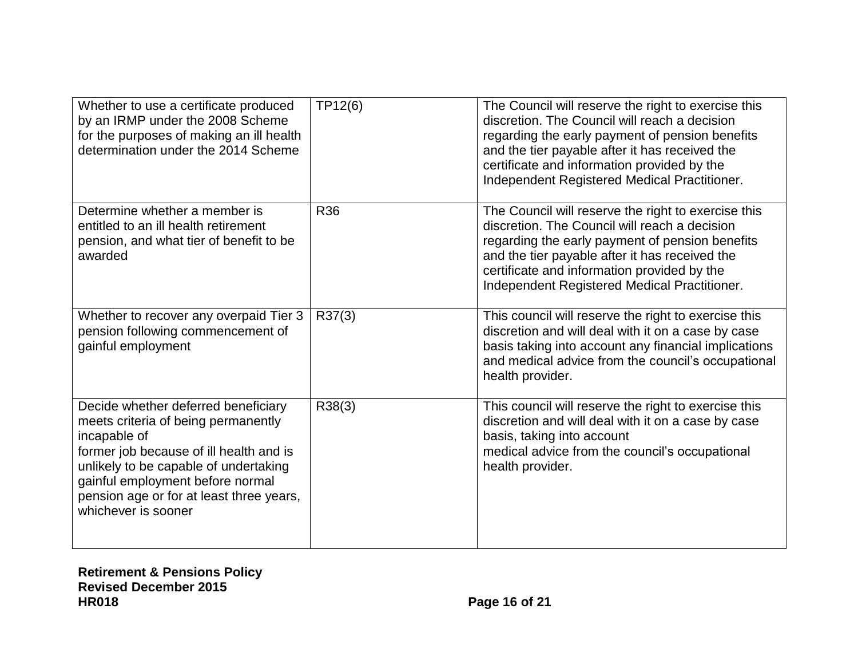| Whether to use a certificate produced<br>by an IRMP under the 2008 Scheme<br>for the purposes of making an ill health<br>determination under the 2014 Scheme                                                                                                                          | TP12(6)    | The Council will reserve the right to exercise this<br>discretion. The Council will reach a decision<br>regarding the early payment of pension benefits<br>and the tier payable after it has received the<br>certificate and information provided by the<br>Independent Registered Medical Practitioner. |
|---------------------------------------------------------------------------------------------------------------------------------------------------------------------------------------------------------------------------------------------------------------------------------------|------------|----------------------------------------------------------------------------------------------------------------------------------------------------------------------------------------------------------------------------------------------------------------------------------------------------------|
| Determine whether a member is<br>entitled to an ill health retirement<br>pension, and what tier of benefit to be<br>awarded                                                                                                                                                           | <b>R36</b> | The Council will reserve the right to exercise this<br>discretion. The Council will reach a decision<br>regarding the early payment of pension benefits<br>and the tier payable after it has received the<br>certificate and information provided by the<br>Independent Registered Medical Practitioner. |
| Whether to recover any overpaid Tier 3<br>pension following commencement of<br>gainful employment                                                                                                                                                                                     | R37(3)     | This council will reserve the right to exercise this<br>discretion and will deal with it on a case by case<br>basis taking into account any financial implications<br>and medical advice from the council's occupational<br>health provider.                                                             |
| Decide whether deferred beneficiary<br>meets criteria of being permanently<br>incapable of<br>former job because of ill health and is<br>unlikely to be capable of undertaking<br>gainful employment before normal<br>pension age or for at least three years,<br>whichever is sooner | R38(3)     | This council will reserve the right to exercise this<br>discretion and will deal with it on a case by case<br>basis, taking into account<br>medical advice from the council's occupational<br>health provider.                                                                                           |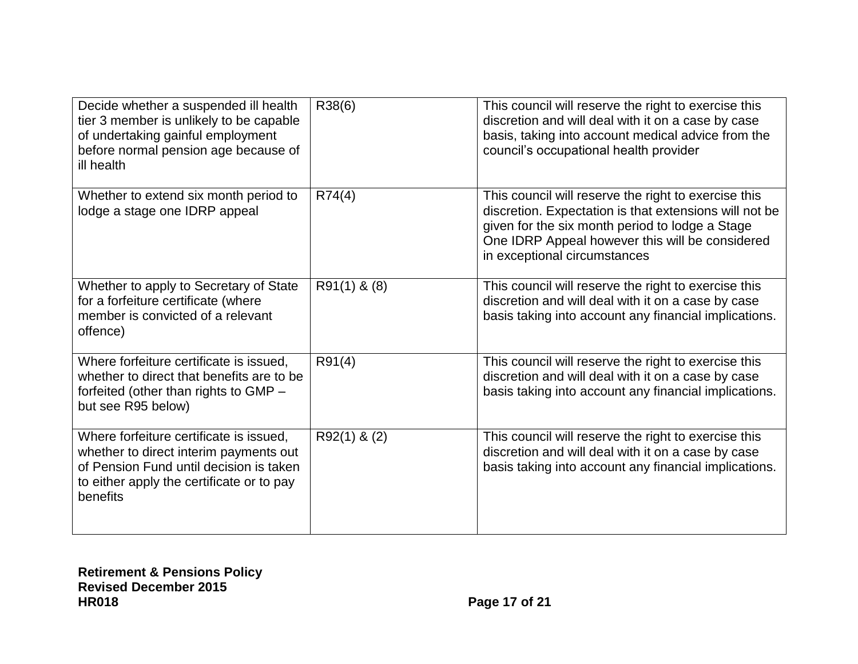| Decide whether a suspended ill health<br>tier 3 member is unlikely to be capable<br>of undertaking gainful employment<br>before normal pension age because of<br>ill health           | R38(6)           | This council will reserve the right to exercise this<br>discretion and will deal with it on a case by case<br>basis, taking into account medical advice from the<br>council's occupational health provider                                           |
|---------------------------------------------------------------------------------------------------------------------------------------------------------------------------------------|------------------|------------------------------------------------------------------------------------------------------------------------------------------------------------------------------------------------------------------------------------------------------|
| Whether to extend six month period to<br>lodge a stage one IDRP appeal                                                                                                                | R74(4)           | This council will reserve the right to exercise this<br>discretion. Expectation is that extensions will not be<br>given for the six month period to lodge a Stage<br>One IDRP Appeal however this will be considered<br>in exceptional circumstances |
| Whether to apply to Secretary of State<br>for a forfeiture certificate (where<br>member is convicted of a relevant<br>offence)                                                        | $R91(1)$ & $(8)$ | This council will reserve the right to exercise this<br>discretion and will deal with it on a case by case<br>basis taking into account any financial implications.                                                                                  |
| Where forfeiture certificate is issued,<br>whether to direct that benefits are to be<br>forfeited (other than rights to GMP -<br>but see R95 below)                                   | R91(4)           | This council will reserve the right to exercise this<br>discretion and will deal with it on a case by case<br>basis taking into account any financial implications.                                                                                  |
| Where forfeiture certificate is issued,<br>whether to direct interim payments out<br>of Pension Fund until decision is taken<br>to either apply the certificate or to pay<br>benefits | $R92(1)$ & (2)   | This council will reserve the right to exercise this<br>discretion and will deal with it on a case by case<br>basis taking into account any financial implications.                                                                                  |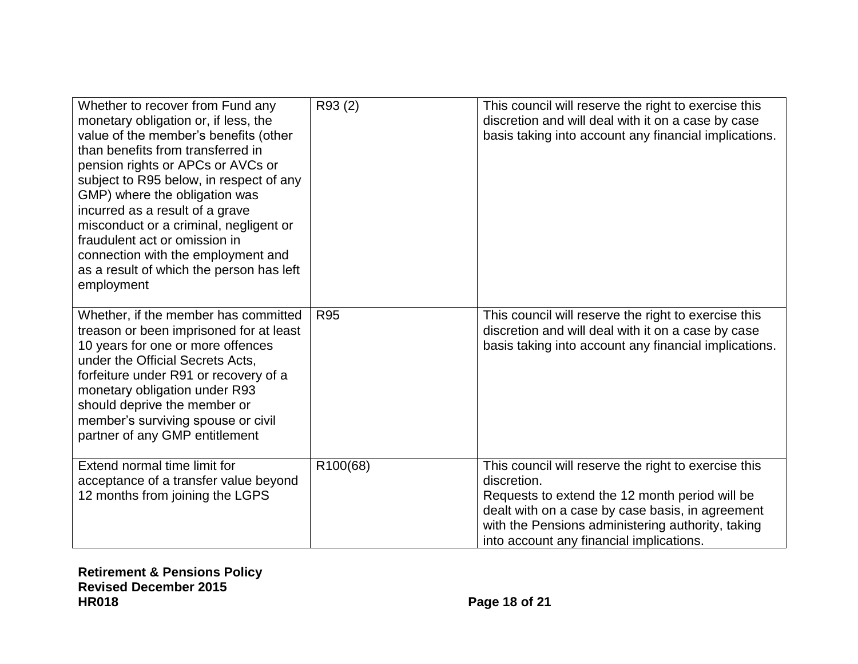| Whether to recover from Fund any<br>monetary obligation or, if less, the<br>value of the member's benefits (other<br>than benefits from transferred in<br>pension rights or APCs or AVCs or<br>subject to R95 below, in respect of any<br>GMP) where the obligation was<br>incurred as a result of a grave<br>misconduct or a criminal, negligent or<br>fraudulent act or omission in<br>connection with the employment and<br>as a result of which the person has left<br>employment | R93 (2)         | This council will reserve the right to exercise this<br>discretion and will deal with it on a case by case<br>basis taking into account any financial implications.                                                                                                        |
|---------------------------------------------------------------------------------------------------------------------------------------------------------------------------------------------------------------------------------------------------------------------------------------------------------------------------------------------------------------------------------------------------------------------------------------------------------------------------------------|-----------------|----------------------------------------------------------------------------------------------------------------------------------------------------------------------------------------------------------------------------------------------------------------------------|
| Whether, if the member has committed<br>treason or been imprisoned for at least<br>10 years for one or more offences<br>under the Official Secrets Acts,<br>forfeiture under R91 or recovery of a<br>monetary obligation under R93<br>should deprive the member or<br>member's surviving spouse or civil<br>partner of any GMP entitlement                                                                                                                                            | R <sub>95</sub> | This council will reserve the right to exercise this<br>discretion and will deal with it on a case by case<br>basis taking into account any financial implications.                                                                                                        |
| Extend normal time limit for<br>acceptance of a transfer value beyond<br>12 months from joining the LGPS                                                                                                                                                                                                                                                                                                                                                                              | R100(68)        | This council will reserve the right to exercise this<br>discretion.<br>Requests to extend the 12 month period will be<br>dealt with on a case by case basis, in agreement<br>with the Pensions administering authority, taking<br>into account any financial implications. |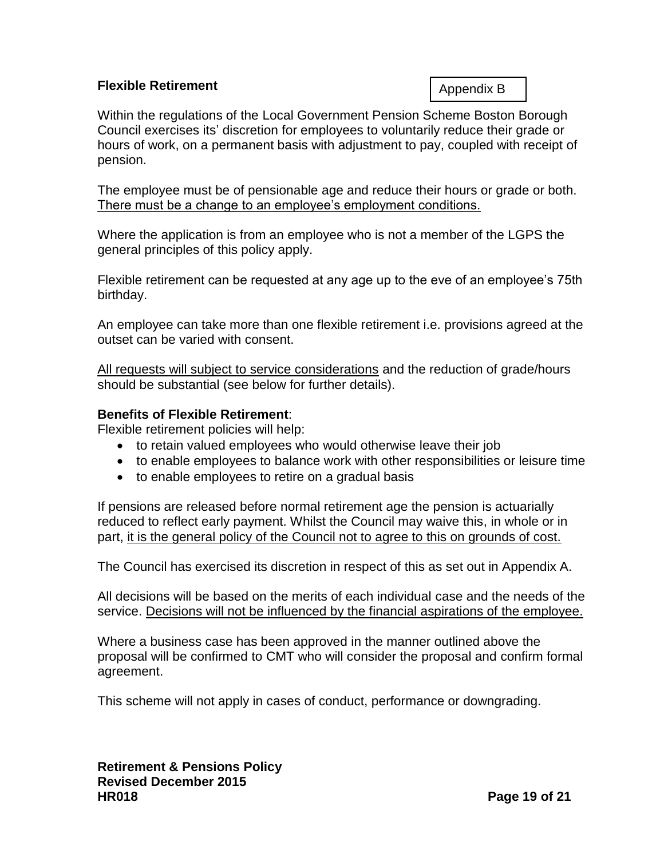# <span id="page-18-0"></span>**Flexible Retirement**

Appendix B

Within the regulations of the Local Government Pension Scheme Boston Borough Council exercises its' discretion for employees to voluntarily reduce their grade or hours of work, on a permanent basis with adjustment to pay, coupled with receipt of pension.

The employee must be of pensionable age and reduce their hours or grade or both. There must be a change to an employee's employment conditions.

Where the application is from an employee who is not a member of the LGPS the general principles of this policy apply.

Flexible retirement can be requested at any age up to the eve of an employee's 75th birthday.

An employee can take more than one flexible retirement i.e. provisions agreed at the outset can be varied with consent.

All requests will subject to service considerations and the reduction of grade/hours should be substantial (see below for further details).

# **Benefits of Flexible Retirement**:

Flexible retirement policies will help:

- to retain valued employees who would otherwise leave their job
- to enable employees to balance work with other responsibilities or leisure time
- to enable employees to retire on a gradual basis

If pensions are released before normal retirement age the pension is actuarially reduced to reflect early payment. Whilst the Council may waive this, in whole or in part, it is the general policy of the Council not to agree to this on grounds of cost.

The Council has exercised its discretion in respect of this as set out in Appendix A.

All decisions will be based on the merits of each individual case and the needs of the service. Decisions will not be influenced by the financial aspirations of the employee.

Where a business case has been approved in the manner outlined above the proposal will be confirmed to CMT who will consider the proposal and confirm formal agreement.

This scheme will not apply in cases of conduct, performance or downgrading.

**Retirement & Pensions Policy Revised December 2015 HR018 Page 19 of 21**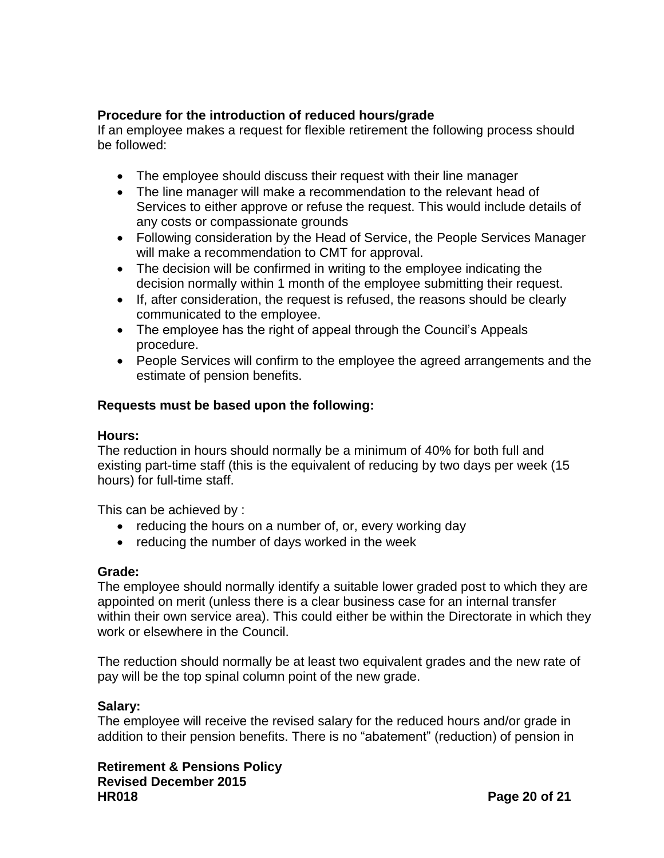# **Procedure for the introduction of reduced hours/grade**

If an employee makes a request for flexible retirement the following process should be followed:

- The employee should discuss their request with their line manager
- The line manager will make a recommendation to the relevant head of Services to either approve or refuse the request. This would include details of any costs or compassionate grounds
- Following consideration by the Head of Service, the People Services Manager will make a recommendation to CMT for approval.
- The decision will be confirmed in writing to the employee indicating the decision normally within 1 month of the employee submitting their request.
- If, after consideration, the request is refused, the reasons should be clearly communicated to the employee.
- The employee has the right of appeal through the Council's Appeals procedure.
- People Services will confirm to the employee the agreed arrangements and the estimate of pension benefits.

# **Requests must be based upon the following:**

# **Hours:**

The reduction in hours should normally be a minimum of 40% for both full and existing part-time staff (this is the equivalent of reducing by two days per week (15 hours) for full-time staff.

This can be achieved by :

- reducing the hours on a number of, or, every working day
- reducing the number of days worked in the week

# **Grade:**

The employee should normally identify a suitable lower graded post to which they are appointed on merit (unless there is a clear business case for an internal transfer within their own service area). This could either be within the Directorate in which they work or elsewhere in the Council.

The reduction should normally be at least two equivalent grades and the new rate of pay will be the top spinal column point of the new grade.

# **Salary:**

The employee will receive the revised salary for the reduced hours and/or grade in addition to their pension benefits. There is no "abatement" (reduction) of pension in

**Retirement & Pensions Policy Revised December 2015 HR018 Page 20 of 21**